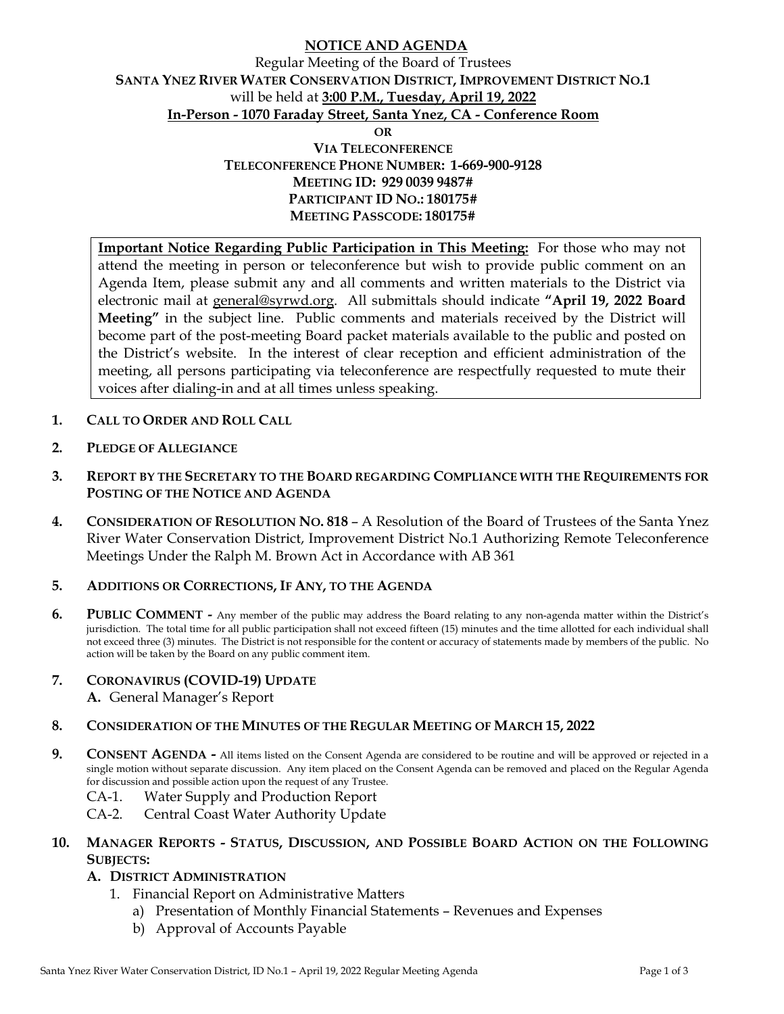## **NOTICE AND AGENDA**

### Regular Meeting of the Board of Trustees **SANTA YNEZ RIVER WATER CONSERVATION DISTRICT, IMPROVEMENT DISTRICT NO.1**  will be held at **3:00 P.M., Tuesday, April 19, 2022 In-Person - 1070 Faraday Street, Santa Ynez, CA - Conference Room OR**

**VIA TELECONFERENCE TELECONFERENCE PHONE NUMBER: 1-669-900-9128 MEETING ID: 929 0039 9487# PARTICIPANT ID NO.: 180175# MEETING PASSCODE: 180175#** 

**Important Notice Regarding Public Participation in This Meeting:** For those who may not attend the meeting in person or teleconference but wish to provide public comment on an Agenda Item, please submit any and all comments and written materials to the District via electronic mail at general@syrwd.org. All submittals should indicate **"April 19, 2022 Board Meeting"** in the subject line. Public comments and materials received by the District will become part of the post-meeting Board packet materials available to the public and posted on the District's website. In the interest of clear reception and efficient administration of the meeting, all persons participating via teleconference are respectfully requested to mute their voices after dialing-in and at all times unless speaking.

- **1. CALL TO ORDER AND ROLL CALL**
- **2. PLEDGE OF ALLEGIANCE**
- **3. REPORT BY THE SECRETARY TO THE BOARD REGARDING COMPLIANCE WITH THE REQUIREMENTS FOR POSTING OF THE NOTICE AND AGENDA**
- **4. CONSIDERATION OF RESOLUTION NO. 818** A Resolution of the Board of Trustees of the Santa Ynez River Water Conservation District, Improvement District No.1 Authorizing Remote Teleconference Meetings Under the Ralph M. Brown Act in Accordance with AB 361

#### **5. ADDITIONS OR CORRECTIONS, IF ANY, TO THE AGENDA**

**6. PUBLIC COMMENT -** Any member of the public may address the Board relating to any non-agenda matter within the District's jurisdiction. The total time for all public participation shall not exceed fifteen (15) minutes and the time allotted for each individual shall not exceed three (3) minutes. The District is not responsible for the content or accuracy of statements made by members of the public. No action will be taken by the Board on any public comment item.

#### **7. CORONAVIRUS (COVID-19) UPDATE**

**A.** General Manager's Report

#### **8. CONSIDERATION OF THE MINUTES OF THE REGULAR MEETING OF MARCH 15, 2022**

- **9.** CONSENT AGENDA All items listed on the Consent Agenda are considered to be routine and will be approved or rejected in a single motion without separate discussion. Any item placed on the Consent Agenda can be removed and placed on the Regular Agenda for discussion and possible action upon the request of any Trustee.
	- CA-1. Water Supply and Production Report
	- CA-2. Central Coast Water Authority Update

#### **10. MANAGER REPORTS - STATUS, DISCUSSION, AND POSSIBLE BOARD ACTION ON THE FOLLOWING SUBJECTS:**

#### **A. DISTRICT ADMINISTRATION**

- 1. Financial Report on Administrative Matters
	- a) Presentation of Monthly Financial Statements Revenues and Expenses
	- b) Approval of Accounts Payable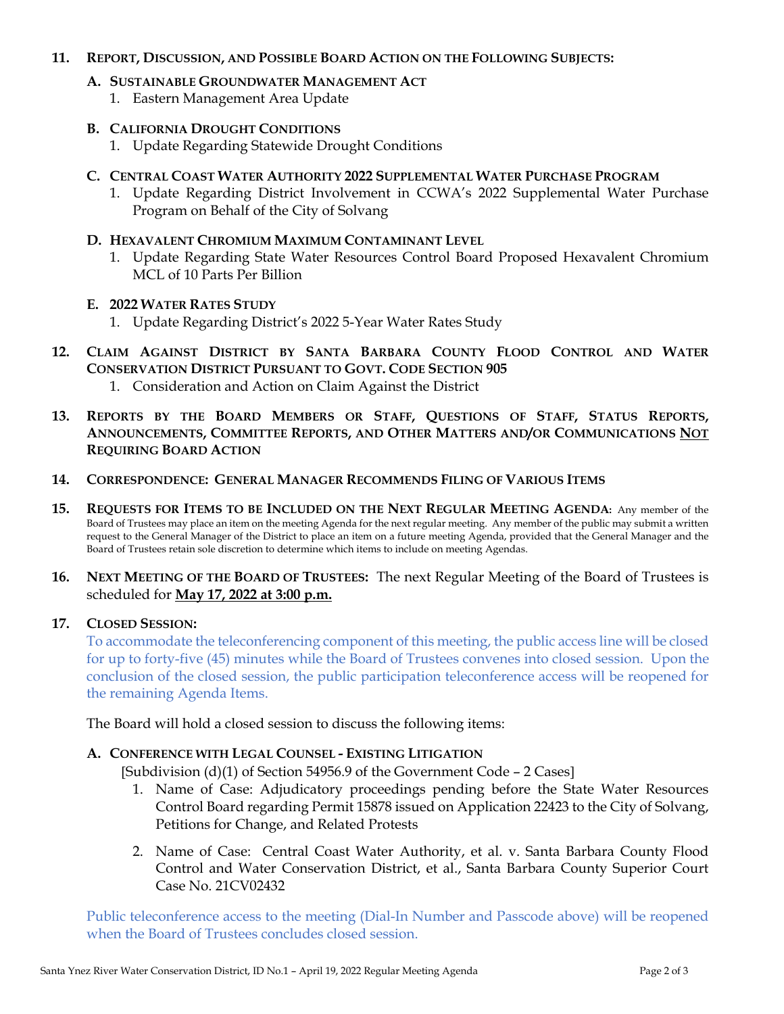#### **11. REPORT, DISCUSSION, AND POSSIBLE BOARD ACTION ON THE FOLLOWING SUBJECTS:**

## **A. SUSTAINABLE GROUNDWATER MANAGEMENT ACT**

1. Eastern Management Area Update

## **B. CALIFORNIA DROUGHT CONDITIONS**

1. Update Regarding Statewide Drought Conditions

## **C. CENTRAL COAST WATER AUTHORITY 2022 SUPPLEMENTAL WATER PURCHASE PROGRAM**

1. Update Regarding District Involvement in CCWA's 2022 Supplemental Water Purchase Program on Behalf of the City of Solvang

### **D. HEXAVALENT CHROMIUM MAXIMUM CONTAMINANT LEVEL**

1. Update Regarding State Water Resources Control Board Proposed Hexavalent Chromium MCL of 10 Parts Per Billion

### **E. 2022 WATER RATES STUDY**

- 1. Update Regarding District's 2022 5-Year Water Rates Study
- **12. CLAIM AGAINST DISTRICT BY SANTA BARBARA COUNTY FLOOD CONTROL AND WATER CONSERVATION DISTRICT PURSUANT TO GOVT. CODE SECTION 905**  1. Consideration and Action on Claim Against the District
- **13. REPORTS BY THE BOARD MEMBERS OR STAFF, QUESTIONS OF STAFF, STATUS REPORTS,**
- **ANNOUNCEMENTS, COMMITTEE REPORTS, AND OTHER MATTERS AND/OR COMMUNICATIONS NOT REQUIRING BOARD ACTION**
- **14. CORRESPONDENCE: GENERAL MANAGER RECOMMENDS FILING OF VARIOUS ITEMS**
- **15. REQUESTS FOR ITEMS TO BE INCLUDED ON THE NEXT REGULAR MEETING AGENDA:** Any member of the Board of Trustees may place an item on the meeting Agenda for the next regular meeting. Any member of the public may submit a written request to the General Manager of the District to place an item on a future meeting Agenda, provided that the General Manager and the Board of Trustees retain sole discretion to determine which items to include on meeting Agendas.
- **16. NEXT MEETING OF THE BOARD OF TRUSTEES:** The next Regular Meeting of the Board of Trustees is scheduled for **May 17, 2022 at 3:00 p.m.**

### **17. CLOSED SESSION:**

To accommodate the teleconferencing component of this meeting, the public access line will be closed for up to forty-five (45) minutes while the Board of Trustees convenes into closed session. Upon the conclusion of the closed session, the public participation teleconference access will be reopened for the remaining Agenda Items.

The Board will hold a closed session to discuss the following items:

# **A. CONFERENCE WITH LEGAL COUNSEL - EXISTING LITIGATION**

[Subdivision  $(d)(1)$  of Section 54956.9 of the Government Code – 2 Cases]

- 1. Name of Case: Adjudicatory proceedings pending before the State Water Resources Control Board regarding Permit 15878 issued on Application 22423 to the City of Solvang, Petitions for Change, and Related Protests
- 2. Name of Case: Central Coast Water Authority, et al. v. Santa Barbara County Flood Control and Water Conservation District, et al., Santa Barbara County Superior Court Case No. 21CV02432

Public teleconference access to the meeting (Dial-In Number and Passcode above) will be reopened when the Board of Trustees concludes closed session.